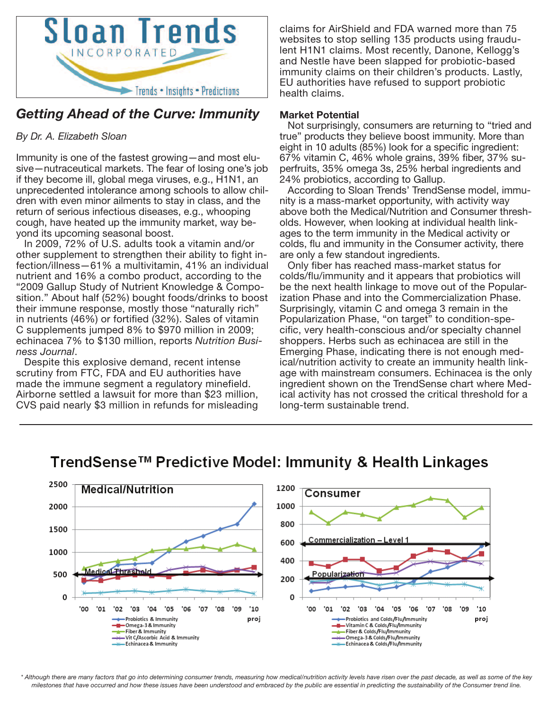

## *Getting Ahead of the Curve: Immunity*

## *By Dr. A. Elizabeth Sloan*

Immunity is one of the fastest growing—and most elusive—nutraceutical markets. The fear of losing one's job if they become ill, global mega viruses, e.g., H1N1, an unprecedented intolerance among schools to allow children with even minor ailments to stay in class, and the return of serious infectious diseases, e.g., whooping cough, have heated up the immunity market, way beyond its upcoming seasonal boost.

In 2009, 72% of U.S. adults took a vitamin and/or other supplement to strengthen their ability to fight infection/illness—61% a multivitamin, 41% an individual nutrient and 16% a combo product, according to the "2009 Gallup Study of Nutrient Knowledge & Composition." About half (52%) bought foods/drinks to boost their immune response, mostly those "naturally rich" in nutrients (46%) or fortified (32%). Sales of vitamin C supplements jumped 8% to \$970 million in 2009; echinacea 7% to \$130 million, reports *Nutrition Business Journal*.

Despite this explosive demand, recent intense scrutiny from FTC, FDA and EU authorities have made the immune segment a regulatory minefield. Airborne settled a lawsuit for more than \$23 million, CVS paid nearly \$3 million in refunds for misleading claims for AirShield and FDA warned more than 75 websites to stop selling 135 products using fraudulent H1N1 claims. Most recently, Danone, Kellogg's and Nestle have been slapped for probiotic-based immunity claims on their children's products. Lastly, EU authorities have refused to support probiotic health claims.

### **Market Potential**

Not surprisingly, consumers are returning to "tried and true" products they believe boost immunity. More than eight in 10 adults (85%) look for a specific ingredient: 67% vitamin C, 46% whole grains, 39% fiber, 37% superfruits, 35% omega 3s, 25% herbal ingredients and 24% probiotics, according to Gallup.

According to Sloan Trends' TrendSense model, immunity is a mass-market opportunity, with activity way above both the Medical/Nutrition and Consumer thresholds. However, when looking at individual health linkages to the term immunity in the Medical activity or colds, flu and immunity in the Consumer activity, there are only a few standout ingredients.

Only fiber has reached mass-market status for colds/flu/immunity and it appears that probiotics will be the next health linkage to move out of the Popularization Phase and into the Commercialization Phase. Surprisingly, vitamin C and omega 3 remain in the Popularization Phase, "on target" to condition-specific, very health-conscious and/or specialty channel shoppers. Herbs such as echinacea are still in the Emerging Phase, indicating there is not enough medical/nutrition activity to create an immunity health linkage with mainstream consumers. Echinacea is the only ingredient shown on the TrendSense chart where Medical activity has not crossed the critical threshold for a long-term sustainable trend.



# TrendSense™ Predictive Model: Immunity & Health Linkages

\* Although there are many factors that go into determining consumer trends, measuring how medical/nutrition activity levels have risen over the past decade, as well as some of the key milestones that have occurred and how these issues have been understood and embraced by the public are essential in predicting the sustainability of the Consumer trend line.